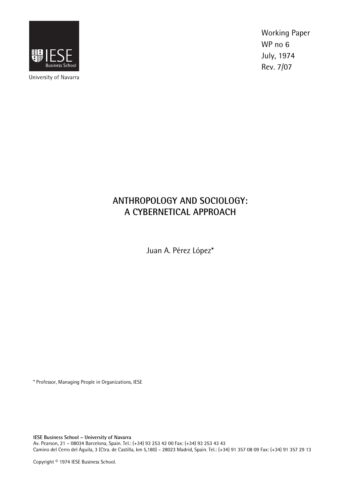

University of Navarra

Working Paper WP no 6 July, 1974 Rev. 7/07

# **ANTHROPOLOGY AND SOCIOLOGY: A CYBERNETICAL APPROACH**

Juan A. Pérez López\*

\* Professor, Managing People in Organizations, IESE

**IESE Business School – University of Navarra**  Av. Pearson, 21 – 08034 Barcelona, Spain. Tel.: (+34) 93 253 42 00 Fax: (+34) 93 253 43 43 Camino del Cerro del Águila, 3 (Ctra. de Castilla, km 5,180) – 28023 Madrid, Spain. Tel.: (+34) 91 357 08 09 Fax: (+34) 91 357 29 13

Copyright © 1974 IESE Business School.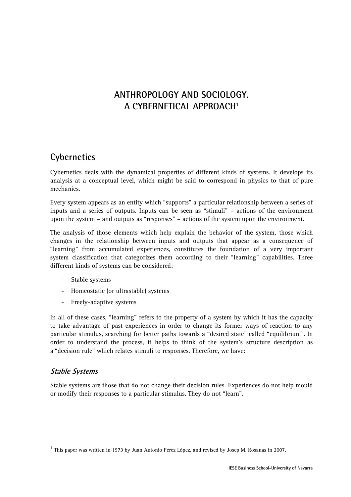## **ANTHROPOLOGY AND SOCIOLOGY. A CYBERNETICAL APPROACH1**

### **Cybernetics**

Cybernetics deals with the dynamical properties of different kinds of systems. It develops its analysis at a conceptual level, which might be said to correspond in physics to that of pure mechanics.

Every system appears as an entity which "supports" a particular relationship between a series of inputs and a series of outputs. Inputs can be seen as "stimuli" – actions of the environment upon the system – and outputs as "responses" – actions of the system upon the environment.

The analysis of those elements which help explain the behavior of the system, those which changes in the relationship between inputs and outputs that appear as a consequence of "learning" from accumulated experiences, constitutes the foundation of a very important system classification that categorizes them according to their "learning" capabilities. Three different kinds of systems can be considered:

- Stable systems
- Homeostatic (or ultrastable) systems
- Freely-adaptive systems

In all of these cases, "learning" refers to the property of a system by which it has the capacity to take advantage of past experiences in order to change its former ways of reaction to any particular stimulus, searching for better paths towards a "desired state" called "equilibrium". In order to understand the process, it helps to think of the system's structure description as a "decision rule" which relates stimuli to responses. Therefore, we have:

#### **Stable Systems**

-

Stable systems are those that do not change their decision rules. Experiences do not help mould or modify their responses to a particular stimulus. They do not "learn".

<sup>&</sup>lt;sup>1</sup> This paper was written in 1973 by Juan Antonio Pérez López, and revised by Josep M. Rosanas in 2007.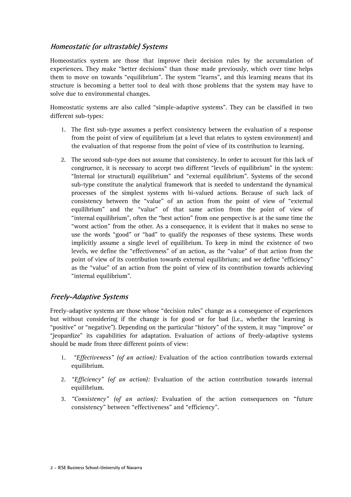### **Homeostatic (or ultrastable) Systems**

Homeostatics system are those that improve their decision rules by the accumulation of experiences. They make "better decisions" than those made previously, which over time helps them to move on towards "equilibrium". The system "learns", and this learning means that its structure is becoming a better tool to deal with those problems that the system may have to solve due to environmental changes.

Homeostatic systems are also called "simple-adaptive systems". They can be classified in two different sub-types:

- 1. The first sub-type assumes a perfect consistency between the evaluation of a response from the point of view of equilibrium (at a level that relates to system environment) and the evaluation of that response from the point of view of its contribution to learning.
- 2. The second sub-type does not assume that consistency. In order to account for this lack of congruence, it is necessary to accept two different "levels of equilibrium" in the system: "Internal (or structural) equilibrium" and "external equilibrium". Systems of the second sub-type constitute the analytical framework that is needed to understand the dynamical processes of the simplest systems with bi-valued actions. Because of such lack of consistency between the "value" of an action from the point of view of "external equilibrium" and the "value" of that same action from the point of view of "internal equilibrium", often the "best action" from one perspective is at the same time the "worst action" from the other. As a consequence, it is evident that it makes no sense to use the words "good" or "bad" to qualify the responses of these systems. These words implicitly assume a single level of equilibrium. To keep in mind the existence of two levels, we define the "effectiveness" of an action, as the "value" of that action from the point of view of its contribution towards external equilibrium; and we define "efficiency" as the "value" of an action from the point of view of its contribution towards achieving "internal equilibrium".

### **Freely-Adaptive Systems**

Freely-adaptive systems are those whose "decision rules" change as a consequence of experiences but without considering if the change is for good or for bad (i.e., whether the learning is "positive" or "negative"). Depending on the particular "history" of the system, it may "improve" or "jeopardize" its capabilities for adaptation. Evaluation of actions of freely-adaptive systems should be made from three different points of view:

- 1. *"Effectiveness" (of an action):* Evaluation of the action contribution towards external equilibrium.
- 2. *"Efficiency" (of an action):* Evaluation of the action contribution towards internal equilibrium.
- 3. *"Consistency" (of an action):* Evaluation of the action consequences on "future consistency" between "effectiveness" and "efficiency".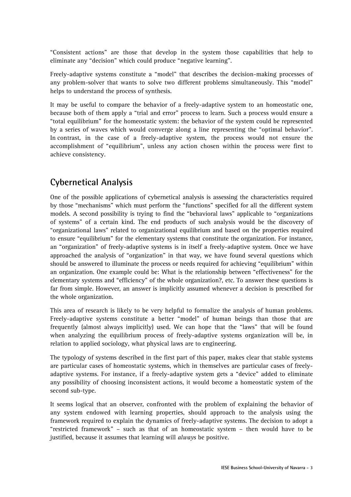"Consistent actions" are those that develop in the system those capabilities that help to eliminate any "decision" which could produce "negative learning".

Freely-adaptive systems constitute a "model" that describes the decision-making processes of any problem-solver that wants to solve two different problems simultaneously. This "model" helps to understand the process of synthesis.

It may be useful to compare the behavior of a freely-adaptive system to an homeostatic one, because both of them apply a "trial and error" process to learn. Such a process would ensure a "total equilibrium" for the homeostatic system: the behavior of the system could be represented by a series of waves which would converge along a line representing the "optimal behavior". In contrast, in the case of a freely-adaptive system, the process would not ensure the accomplishment of "equilibrium", unless any action chosen within the process were first to achieve consistency.

## **Cybernetical Analysis**

One of the possible applications of cybernetical analysis is assessing the characteristics required by those "mechanisms" which must perform the "functions" specified for all the different system models. A second possibility is trying to find the "behavioral laws" applicable to "organizations of systems" of a certain kind. The end products of such analysis would be the discovery of "organizational laws" related to organizational equilibrium and based on the properties required to ensure "equilibrium" for the elementary systems that constitute the organization. For instance, an "organization" of freely-adaptive systems is in itself a freely-adaptive system. Once we have approached the analysis of "organization" in that way, we have found several questions which should be answered to illuminate the process or needs required for achieving "equilibrium" within an organization. One example could be: What is the relationship between "effectiveness" for the elementary systems and "efficiency" of the whole organization?, etc. To answer these questions is far from simple. However, an answer is implicitly assumed whenever a decision is prescribed for the whole organization.

This area of research is likely to be very helpful to formalize the analysis of human problems. Freely-adaptive systems constitute a better "model" of human beings than those that are frequently (almost always implicitly) used. We can hope that the "laws" that will be found when analyzing the equilibrium process of freely-adaptive systems organization will be, in relation to applied sociology, what physical laws are to engineering.

The typology of systems described in the first part of this paper, makes clear that stable systems are particular cases of homeostatic systems, which in themselves are particular cases of freelyadaptive systems. For instance, if a freely-adaptive system gets a "device" added to eliminate any possibility of choosing inconsistent actions, it would become a homeostatic system of the second sub-type.

It seems logical that an observer, confronted with the problem of explaining the behavior of any system endowed with learning properties, should approach to the analysis using the framework required to explain the dynamics of freely-adaptive systems. The decision to adopt a "restricted framework" – such as that of an homeostatic system – then would have to be justified, because it assumes that learning will *always* be positive.